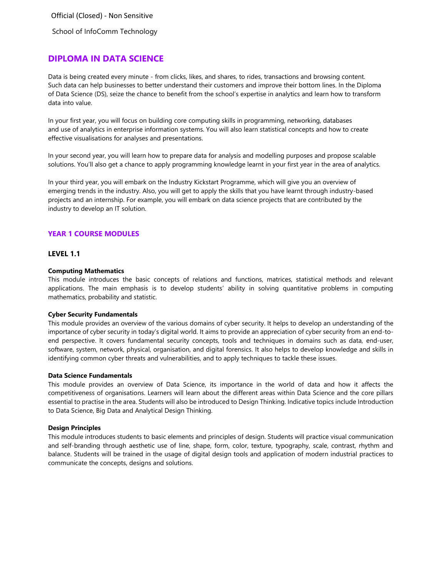School of InfoComm Technology

# **DIPLOMA IN DATA SCIENCE**

Data is being created every minute - from clicks, likes, and shares, to rides, transactions and browsing content. Such data can help businesses to better understand their customers and improve their bottom lines. In the Diploma of Data Science (DS), seize the chance to benefit from the school's expertise in analytics and learn how to transform data into value.

In your first year, you will focus on building core computing skills in programming, networking, databases and use of analytics in enterprise information systems. You will also learn statistical concepts and how to create effective visualisations for analyses and presentations.

In your second year, you will learn how to prepare data for analysis and modelling purposes and propose scalable solutions. You'll also get a chance to apply programming knowledge learnt in your first year in the area of analytics.

In your third year, you will embark on the Industry Kickstart Programme, which will give you an overview of emerging trends in the industry. Also, you will get to apply the skills that you have learnt through industry-based projects and an internship. For example, you will embark on data science projects that are contributed by the industry to develop an IT solution.

# **YEAR 1 COURSE MODULES**

## **LEVEL 1.1**

## **Computing Mathematics**

This module introduces the basic concepts of relations and functions, matrices, statistical methods and relevant applications. The main emphasis is to develop students' ability in solving quantitative problems in computing mathematics, probability and statistic.

## **Cyber Security Fundamentals**

This module provides an overview of the various domains of cyber security. It helps to develop an understanding of the importance of cyber security in today's digital world. It aims to provide an appreciation of cyber security from an end-toend perspective. It covers fundamental security concepts, tools and techniques in domains such as data, end-user, software, system, network, physical, organisation, and digital forensics. It also helps to develop knowledge and skills in identifying common cyber threats and vulnerabilities, and to apply techniques to tackle these issues.

## **Data Science Fundamentals**

This module provides an overview of Data Science, its importance in the world of data and how it affects the competitiveness of organisations. Learners will learn about the different areas within Data Science and the core pillars essential to practise in the area. Students will also be introduced to Design Thinking. Indicative topics include Introduction to Data Science, Big Data and Analytical Design Thinking.

## **Design Principles**

This module introduces students to basic elements and principles of design. Students will practice visual communication and self-branding through aesthetic use of line, shape, form, color, texture, typography, scale, contrast, rhythm and balance. Students will be trained in the usage of digital design tools and application of modern industrial practices to communicate the concepts, designs and solutions.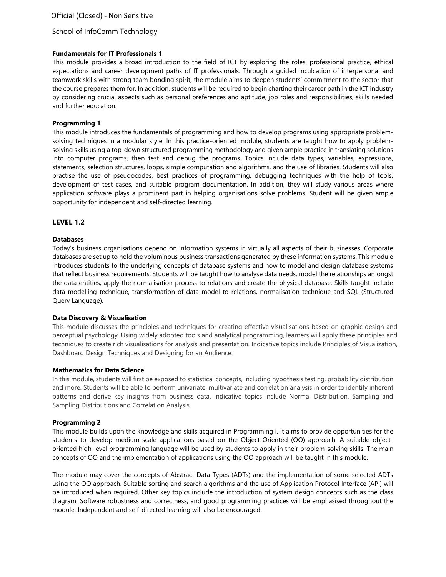# School of InfoComm Technology

## **Fundamentals for IT Professionals 1**

This module provides a broad introduction to the field of ICT by exploring the roles, professional practice, ethical expectations and career development paths of IT professionals. Through a guided inculcation of interpersonal and teamwork skills with strong team bonding spirit, the module aims to deepen students' commitment to the sector that the course prepares them for. In addition, students will be required to begin charting their career path in the ICT industry by considering crucial aspects such as personal preferences and aptitude, job roles and responsibilities, skills needed and further education.

#### **Programming 1**

This module introduces the fundamentals of programming and how to develop programs using appropriate problemsolving techniques in a modular style. In this practice-oriented module, students are taught how to apply problemsolving skills using a top-down structured programming methodology and given ample practice in translating solutions into computer programs, then test and debug the programs. Topics include data types, variables, expressions, statements, selection structures, loops, simple computation and algorithms, and the use of libraries. Students will also practise the use of pseudocodes, best practices of programming, debugging techniques with the help of tools, development of test cases, and suitable program documentation. In addition, they will study various areas where application software plays a prominent part in helping organisations solve problems. Student will be given ample opportunity for independent and self-directed learning.

## **LEVEL 1.2**

#### **Databases**

Today's business organisations depend on information systems in virtually all aspects of their businesses. Corporate databases are set up to hold the voluminous business transactions generated by these information systems. This module introduces students to the underlying concepts of database systems and how to model and design database systems that reflect business requirements. Students will be taught how to analyse data needs, model the relationships amongst the data entities, apply the normalisation process to relations and create the physical database. Skills taught include data modelling technique, transformation of data model to relations, normalisation technique and SQL (Structured Query Language).

## **Data Discovery & Visualisation**

This module discusses the principles and techniques for creating effective visualisations based on graphic design and perceptual psychology. Using widely adopted tools and analytical programming, learners will apply these principles and techniques to create rich visualisations for analysis and presentation. Indicative topics include Principles of Visualization, Dashboard Design Techniques and Designing for an Audience.

#### **Mathematics for Data Science**

In this module, students will first be exposed to statistical concepts, including hypothesis testing, probability distribution and more. Students will be able to perform univariate, multivariate and correlation analysis in order to identify inherent patterns and derive key insights from business data. Indicative topics include Normal Distribution, Sampling and Sampling Distributions and Correlation Analysis.

## **Programming 2**

This module builds upon the knowledge and skills acquired in Programming I. It aims to provide opportunities for the students to develop medium-scale applications based on the Object-Oriented (OO) approach. A suitable objectoriented high-level programming language will be used by students to apply in their problem-solving skills. The main concepts of OO and the implementation of applications using the OO approach will be taught in this module.

The module may cover the concepts of Abstract Data Types (ADTs) and the implementation of some selected ADTs using the OO approach. Suitable sorting and search algorithms and the use of Application Protocol Interface (API) will be introduced when required. Other key topics include the introduction of system design concepts such as the class diagram. Software robustness and correctness, and good programming practices will be emphasised throughout the module. Independent and self-directed learning will also be encouraged.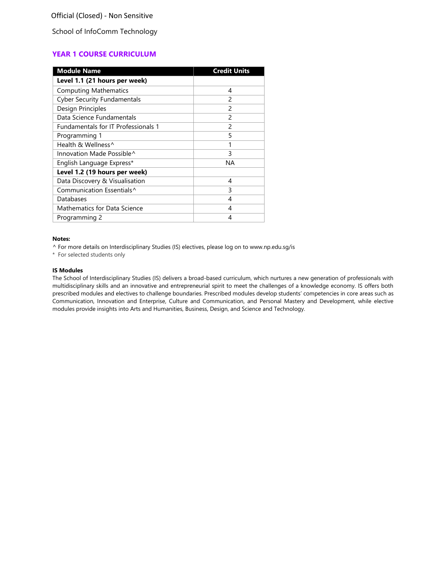School of InfoComm Technology

# **YEAR 1 COURSE CURRICULUM**

| <b>Module Name</b>                    | <b>Credit Units</b> |
|---------------------------------------|---------------------|
| Level 1.1 (21 hours per week)         |                     |
| <b>Computing Mathematics</b>          | 4                   |
| <b>Cyber Security Fundamentals</b>    | 2                   |
| Design Principles                     | $\mathcal{P}$       |
| Data Science Fundamentals             | $\mathfrak{p}$      |
| Fundamentals for IT Professionals 1   | $\mathcal{P}$       |
| Programming 1                         | 5                   |
| Health & Wellness <sup>^</sup>        | 1                   |
| Innovation Made Possible^             | 3                   |
| English Language Express*             | ΝA                  |
| Level 1.2 (19 hours per week)         |                     |
| Data Discovery & Visualisation        | 4                   |
| Communication Essentials <sup>^</sup> | 3                   |
| Databases                             | 4                   |
| Mathematics for Data Science          | 4                   |
| Programming 2                         | 4                   |

## **Notes:**

^ For more details on Interdisciplinary Studies (IS) electives, please log on to [www.np.edu.sg/is](http://www.np.edu.sg/is)

\* For selected students only

#### **IS Modules**

The School of Interdisciplinary Studies (IS) delivers a broad-based curriculum, which nurtures a new generation of professionals with multidisciplinary skills and an innovative and entrepreneurial spirit to meet the challenges of a knowledge economy. IS offers both prescribed modules and electives to challenge boundaries. Prescribed modules develop students' competencies in core areas such as Communication, Innovation and Enterprise, Culture and Communication, and Personal Mastery and Development, while elective modules provide insights into Arts and Humanities, Business, Design, and Science and Technology.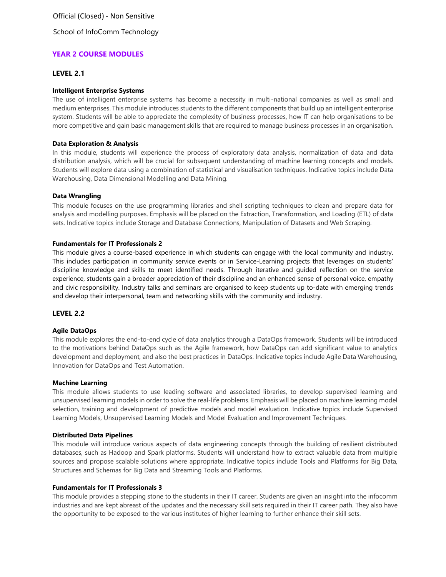School of InfoComm Technology

# **YEAR 2 COURSE MODULES**

## **LEVEL 2.1**

#### **Intelligent Enterprise Systems**

The use of intelligent enterprise systems has become a necessity in multi-national companies as well as small and medium enterprises. This module introduces students to the different components that build up an intelligent enterprise system. Students will be able to appreciate the complexity of business processes, how IT can help organisations to be more competitive and gain basic management skills that are required to manage business processes in an organisation.

#### **Data Exploration & Analysis**

In this module, students will experience the process of exploratory data analysis, normalization of data and data distribution analysis, which will be crucial for subsequent understanding of machine learning concepts and models. Students will explore data using a combination of statistical and visualisation techniques. Indicative topics include Data Warehousing, Data Dimensional Modelling and Data Mining.

#### **Data Wrangling**

This module focuses on the use programming libraries and shell scripting techniques to clean and prepare data for analysis and modelling purposes. Emphasis will be placed on the Extraction, Transformation, and Loading (ETL) of data sets. Indicative topics include Storage and Database Connections, Manipulation of Datasets and Web Scraping.

#### **Fundamentals for IT Professionals 2**

This module gives a course-based experience in which students can engage with the local community and industry. This includes participation in community service events or in Service-Learning projects that leverages on students' discipline knowledge and skills to meet identified needs. Through iterative and guided reflection on the service experience, students gain a broader appreciation of their discipline and an enhanced sense of personal voice, empathy and civic responsibility. Industry talks and seminars are organised to keep students up to-date with emerging trends and develop their interpersonal, team and networking skills with the community and industry.

## **LEVEL 2.2**

#### **Agile DataOps**

This module explores the end-to-end cycle of data analytics through a DataOps framework. Students will be introduced to the motivations behind DataOps such as the Agile framework, how DataOps can add significant value to analytics development and deployment, and also the best practices in DataOps. Indicative topics include Agile Data Warehousing, Innovation for DataOps and Test Automation.

#### **Machine Learning**

This module allows students to use leading software and associated libraries, to develop supervised learning and unsupervised learning models in order to solve the real-life problems. Emphasis will be placed on machine learning model selection, training and development of predictive models and model evaluation. Indicative topics include Supervised Learning Models, Unsupervised Learning Models and Model Evaluation and Improvement Techniques.

#### **Distributed Data Pipelines**

This module will introduce various aspects of data engineering concepts through the building of resilient distributed databases, such as Hadoop and Spark platforms. Students will understand how to extract valuable data from multiple sources and propose scalable solutions where appropriate. Indicative topics include Tools and Platforms for Big Data, Structures and Schemas for Big Data and Streaming Tools and Platforms.

#### **Fundamentals for IT Professionals 3**

This module provides a stepping stone to the students in their IT career. Students are given an insight into the infocomm industries and are kept abreast of the updates and the necessary skill sets required in their IT career path. They also have the opportunity to be exposed to the various institutes of higher learning to further enhance their skill sets.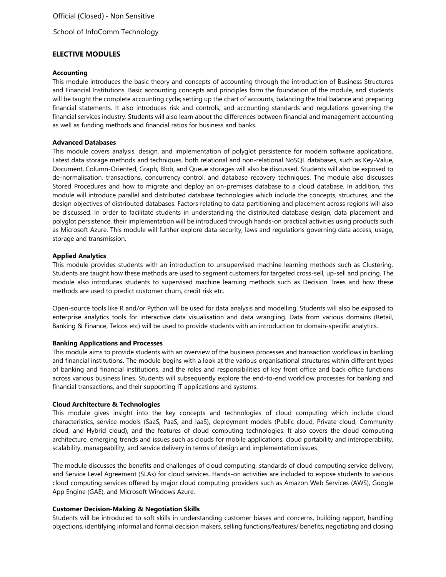School of InfoComm Technology

# **ELECTIVE MODULES**

#### **Accounting**

This module introduces the basic theory and concepts of accounting through the introduction of Business Structures and Financial Institutions. Basic accounting concepts and principles form the foundation of the module, and students will be taught the complete accounting cycle; setting up the chart of accounts, balancing the trial balance and preparing financial statements. It also introduces risk and controls, and accounting standards and regulations governing the financial services industry. Students will also learn about the differences between financial and management accounting as well as funding methods and financial ratios for business and banks.

#### **Advanced Databases**

This module covers analysis, design, and implementation of polyglot persistence for modern software applications. Latest data storage methods and techniques, both relational and non-relational NoSQL databases, such as Key-Value, Document, Column-Oriented, Graph, Blob, and Queue storages will also be discussed. Students will also be exposed to de-normalisation, transactions, concurrency control, and database recovery techniques. The module also discusses Stored Procedures and how to migrate and deploy an on-premises database to a cloud database. In addition, this module will introduce parallel and distributed database technologies which include the concepts, structures, and the design objectives of distributed databases. Factors relating to data partitioning and placement across regions will also be discussed. In order to facilitate students in understanding the distributed database design, data placement and polyglot persistence, their implementation will be introduced through hands-on practical activities using products such as Microsoft Azure. This module will further explore data security, laws and regulations governing data access, usage, storage and transmission.

## **Applied Analytics**

This module provides students with an introduction to unsupervised machine learning methods such as Clustering. Students are taught how these methods are used to segment customers for targeted cross-sell, up-sell and pricing. The module also introduces students to supervised machine learning methods such as Decision Trees and how these methods are used to predict customer churn, credit risk etc.

Open-source tools like R and/or Python will be used for data analysis and modelling. Students will also be exposed to enterprise analytics tools for interactive data visualisation and data wrangling. Data from various domains (Retail, Banking & Finance, Telcos etc) will be used to provide students with an introduction to domain-specific analytics.

## **Banking Applications and Processes**

This module aims to provide students with an overview of the business processes and transaction workflows in banking and financial institutions. The module begins with a look at the various organisational structures within different types of banking and financial institutions, and the roles and responsibilities of key front office and back office functions across various business lines. Students will subsequently explore the end-to-end workflow processes for banking and financial transactions, and their supporting IT applications and systems.

#### **Cloud Architecture & Technologies**

This module gives insight into the key concepts and technologies of cloud computing which include cloud characteristics, service models (SaaS, PaaS, and IaaS), deployment models (Public cloud, Private cloud, Community cloud, and Hybrid cloud), and the features of cloud computing technologies. It also covers the cloud computing architecture, emerging trends and issues such as clouds for mobile applications, cloud portability and interoperability, scalability, manageability, and service delivery in terms of design and implementation issues.

The module discusses the benefits and challenges of cloud computing, standards of cloud computing service delivery, and Service Level Agreement (SLAs) for cloud services. Hands-on activities are included to expose students to various cloud computing services offered by major cloud computing providers such as Amazon Web Services (AWS), Google App Engine (GAE), and Microsoft Windows Azure.

## **Customer Decision-Making & Negotiation Skills**

Students will be introduced to soft skills in understanding customer biases and concerns, building rapport, handling objections, identifying informal and formal decision makers, selling functions/features/ benefits, negotiating and closing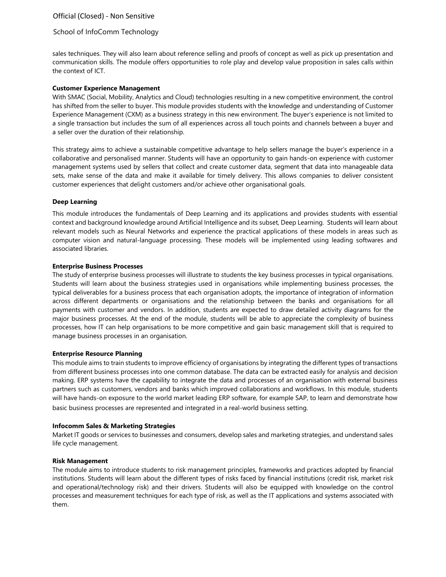## School of InfoComm Technology

sales techniques. They will also learn about reference selling and proofs of concept as well as pick up presentation and communication skills. The module offers opportunities to role play and develop value proposition in sales calls within the context of ICT.

#### **Customer Experience Management**

With SMAC (Social, Mobility, Analytics and Cloud) technologies resulting in a new competitive environment, the control has shifted from the seller to buyer. This module provides students with the knowledge and understanding of Customer Experience Management (CXM) as a business strategy in this new environment. The buyer's experience is not limited to a single transaction but includes the sum of all experiences across all touch points and channels between a buyer and a seller over the duration of their relationship.

This strategy aims to achieve a sustainable competitive advantage to help sellers manage the buyer's experience in a collaborative and personalised manner. Students will have an opportunity to gain hands-on experience with customer management systems used by sellers that collect and create customer data, segment that data into manageable data sets, make sense of the data and make it available for timely delivery. This allows companies to deliver consistent customer experiences that delight customers and/or achieve other organisational goals.

#### **Deep Learning**

This module introduces the fundamentals of Deep Learning and its applications and provides students with essential context and background knowledge around Artificial Intelligence and its subset, Deep Learning. Students will learn about relevant models such as Neural Networks and experience the practical applications of these models in areas such as computer vision and natural-language processing. These models will be implemented using leading softwares and associated libraries.

#### **Enterprise Business Processes**

The study of enterprise business processes will illustrate to students the key business processes in typical organisations. Students will learn about the business strategies used in organisations while implementing business processes, the typical deliverables for a business process that each organisation adopts, the importance of integration of information across different departments or organisations and the relationship between the banks and organisations for all payments with customer and vendors. In addition, students are expected to draw detailed activity diagrams for the major business processes. At the end of the module, students will be able to appreciate the complexity of business processes, how IT can help organisations to be more competitive and gain basic management skill that is required to manage business processes in an organisation.

#### **Enterprise Resource Planning**

This module aims to train students to improve efficiency of organisations by integrating the different types of transactions from different business processes into one common database. The data can be extracted easily for analysis and decision making. ERP systems have the capability to integrate the data and processes of an organisation with external business partners such as customers, vendors and banks which improved collaborations and workflows. In this module, students will have hands-on exposure to the world market leading ERP software, for example SAP, to learn and demonstrate how basic business processes are represented and integrated in a real-world business setting.

## **Infocomm Sales & Marketing Strategies**

Market IT goods or services to businesses and consumers, develop sales and marketing strategies, and understand sales life cycle management.

#### **Risk Management**

The module aims to introduce students to risk management principles, frameworks and practices adopted by financial institutions. Students will learn about the different types of risks faced by financial institutions (credit risk, market risk and operational/technology risk) and their drivers. Students will also be equipped with knowledge on the control processes and measurement techniques for each type of risk, as well as the IT applications and systems associated with them.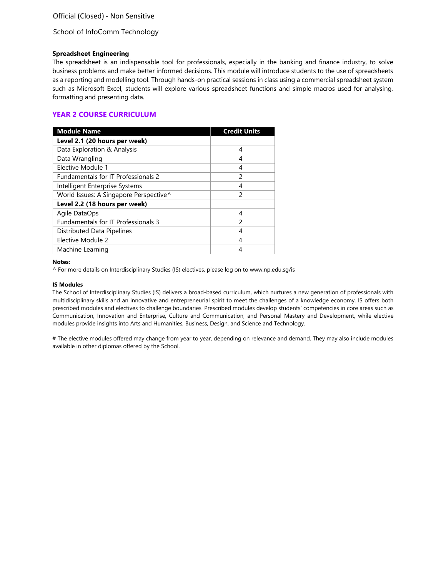School of InfoComm Technology

## **Spreadsheet Engineering**

The spreadsheet is an indispensable tool for professionals, especially in the banking and finance industry, to solve business problems and make better informed decisions. This module will introduce students to the use of spreadsheets as a reporting and modelling tool. Through hands-on practical sessions in class using a commercial spreadsheet system such as Microsoft Excel, students will explore various spreadsheet functions and simple macros used for analysing, formatting and presenting data.

# **YEAR 2 COURSE CURRICULUM**

| <b>Module Name</b>                     | <b>Credit Units</b> |
|----------------------------------------|---------------------|
| Level 2.1 (20 hours per week)          |                     |
| Data Exploration & Analysis            | 4                   |
| Data Wrangling                         | 4                   |
| Elective Module 1                      | 4                   |
| Fundamentals for IT Professionals 2    | $\mathcal{P}$       |
| Intelligent Enterprise Systems         | 4                   |
| World Issues: A Singapore Perspective^ | $\mathcal{P}$       |
| Level 2.2 (18 hours per week)          |                     |
| Agile DataOps                          | 4                   |
| Fundamentals for IT Professionals 3    | $\mathcal{P}$       |
| Distributed Data Pipelines             | 4                   |
| Elective Module 2                      | 4                   |
| Machine Learning                       |                     |

#### **Notes:**

^ For more details on Interdisciplinary Studies (IS) electives, please log on to [www.np.edu.sg/is](http://www.np.edu.sg/is)

#### **IS Modules**

The School of Interdisciplinary Studies (IS) delivers a broad-based curriculum, which nurtures a new generation of professionals with multidisciplinary skills and an innovative and entrepreneurial spirit to meet the challenges of a knowledge economy. IS offers both prescribed modules and electives to challenge boundaries. Prescribed modules develop students' competencies in core areas such as Communication, Innovation and Enterprise, Culture and Communication, and Personal Mastery and Development, while elective modules provide insights into Arts and Humanities, Business, Design, and Science and Technology.

# The elective modules offered may change from year to year, depending on relevance and demand. They may also include modules available in other diplomas offered by the School.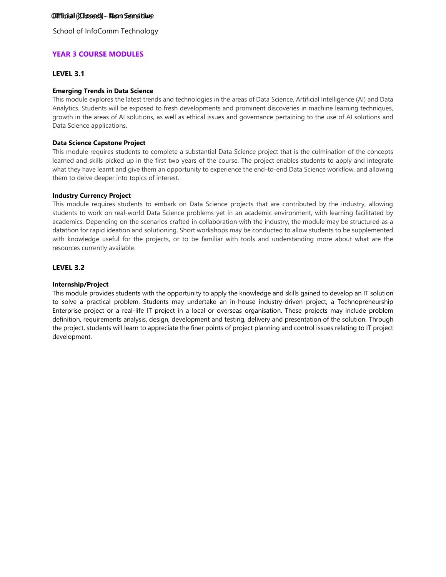School of InfoComm Technology

# **YEAR 3 COURSE MODULES**

# **LEVEL 3.1**

# **Emerging Trends in Data Science**

This module explores the latest trends and technologies in the areas of Data Science, Artificial Intelligence (AI) and Data Analytics. Students will be exposed to fresh developments and prominent discoveries in machine learning techniques, growth in the areas of AI solutions, as well as ethical issues and governance pertaining to the use of AI solutions and Data Science applications.

# **Data Science Capstone Project**

This module requires students to complete a substantial Data Science project that is the culmination of the concepts learned and skills picked up in the first two years of the course. The project enables students to apply and integrate what they have learnt and give them an opportunity to experience the end-to-end Data Science workflow, and allowing them to delve deeper into topics of interest.

# **Industry Currency Project**

This module requires students to embark on Data Science projects that are contributed by the industry, allowing students to work on real-world Data Science problems yet in an academic environment, with learning facilitated by academics. Depending on the scenarios crafted in collaboration with the industry, the module may be structured as a datathon for rapid ideation and solutioning. Short workshops may be conducted to allow students to be supplemented with knowledge useful for the projects, or to be familiar with tools and understanding more about what are the resources currently available.

# **LEVEL 3.2**

# **Internship/Project**

This module provides students with the opportunity to apply the knowledge and skills gained to develop an IT solution to solve a practical problem. Students may undertake an in-house industry-driven project, a Technopreneurship Enterprise project or a real-life IT project in a local or overseas organisation. These projects may include problem definition, requirements analysis, design, development and testing, delivery and presentation of the solution. Through the project, students will learn to appreciate the finer points of project planning and control issues relating to IT project development.